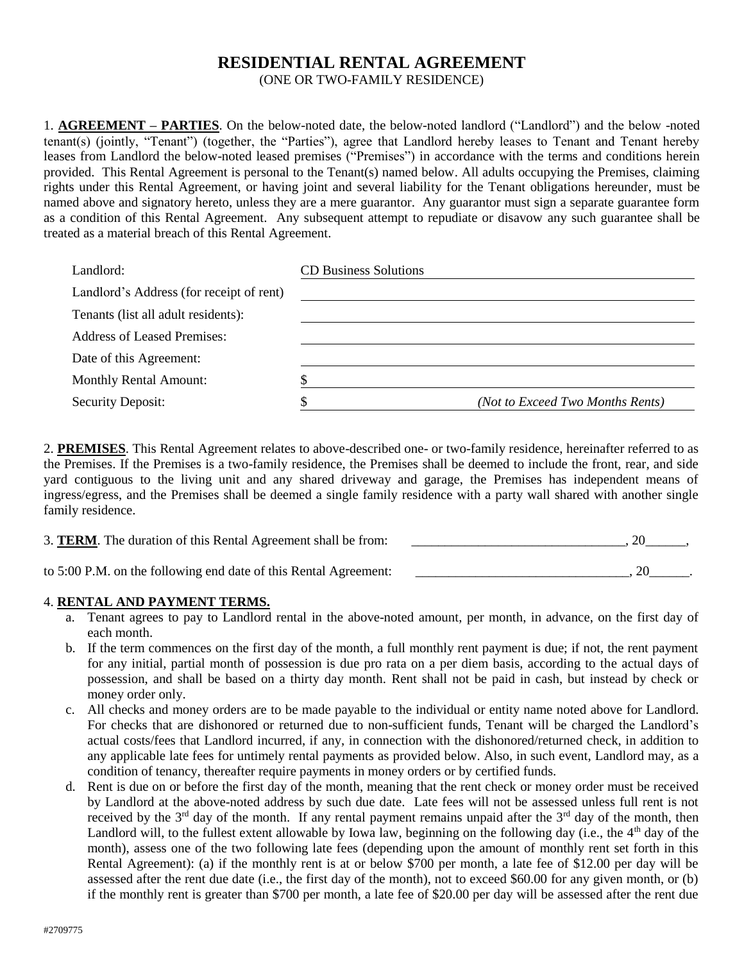# **RESIDENTIAL RENTAL AGREEMENT** (ONE OR TWO-FAMILY RESIDENCE)

1. **AGREEMENT – PARTIES**. On the below-noted date, the below-noted landlord ("Landlord") and the below -noted tenant(s) (jointly, "Tenant") (together, the "Parties"), agree that Landlord hereby leases to Tenant and Tenant hereby leases from Landlord the below-noted leased premises ("Premises") in accordance with the terms and conditions herein provided. This Rental Agreement is personal to the Tenant(s) named below. All adults occupying the Premises, claiming rights under this Rental Agreement, or having joint and several liability for the Tenant obligations hereunder, must be named above and signatory hereto, unless they are a mere guarantor. Any guarantor must sign a separate guarantee form as a condition of this Rental Agreement. Any subsequent attempt to repudiate or disavow any such guarantee shall be treated as a material breach of this Rental Agreement.

| Landlord:                                | <b>CD Business Solutions</b> |                                  |
|------------------------------------------|------------------------------|----------------------------------|
| Landlord's Address (for receipt of rent) |                              |                                  |
| Tenants (list all adult residents):      |                              |                                  |
| <b>Address of Leased Premises:</b>       |                              |                                  |
| Date of this Agreement:                  |                              |                                  |
| <b>Monthly Rental Amount:</b>            |                              |                                  |
| <b>Security Deposit:</b>                 |                              | (Not to Exceed Two Months Rents) |

2. **PREMISES**. This Rental Agreement relates to above-described one- or two-family residence, hereinafter referred to as the Premises. If the Premises is a two-family residence, the Premises shall be deemed to include the front, rear, and side yard contiguous to the living unit and any shared driveway and garage, the Premises has independent means of ingress/egress, and the Premises shall be deemed a single family residence with a party wall shared with another single family residence.

| 3. <b>TERM</b> . The duration of this Rental Agreement shall be from: |  |
|-----------------------------------------------------------------------|--|
| to 5:00 P.M. on the following end date of this Rental Agreement:      |  |

# 4. **RENTAL AND PAYMENT TERMS.**

- a. Tenant agrees to pay to Landlord rental in the above-noted amount, per month, in advance, on the first day of each month.
- b. If the term commences on the first day of the month, a full monthly rent payment is due; if not, the rent payment for any initial, partial month of possession is due pro rata on a per diem basis, according to the actual days of possession, and shall be based on a thirty day month. Rent shall not be paid in cash, but instead by check or money order only.
- c. All checks and money orders are to be made payable to the individual or entity name noted above for Landlord. For checks that are dishonored or returned due to non-sufficient funds, Tenant will be charged the Landlord's actual costs/fees that Landlord incurred, if any, in connection with the dishonored/returned check, in addition to any applicable late fees for untimely rental payments as provided below. Also, in such event, Landlord may, as a condition of tenancy, thereafter require payments in money orders or by certified funds.
- d. Rent is due on or before the first day of the month, meaning that the rent check or money order must be received by Landlord at the above-noted address by such due date. Late fees will not be assessed unless full rent is not received by the 3<sup>rd</sup> day of the month. If any rental payment remains unpaid after the 3<sup>rd</sup> day of the month, then Landlord will, to the fullest extent allowable by Iowa law, beginning on the following day (i.e., the  $4<sup>th</sup>$  day of the month), assess one of the two following late fees (depending upon the amount of monthly rent set forth in this Rental Agreement): (a) if the monthly rent is at or below \$700 per month, a late fee of \$12.00 per day will be assessed after the rent due date (i.e., the first day of the month), not to exceed \$60.00 for any given month, or (b) if the monthly rent is greater than \$700 per month, a late fee of \$20.00 per day will be assessed after the rent due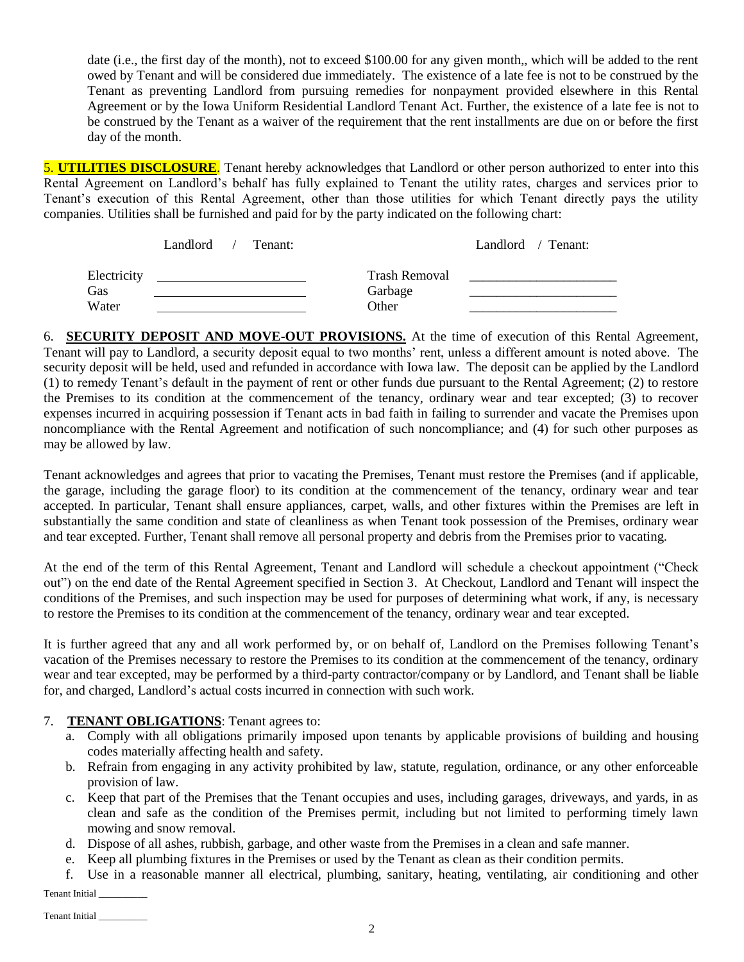date (i.e., the first day of the month), not to exceed \$100.00 for any given month,, which will be added to the rent owed by Tenant and will be considered due immediately. The existence of a late fee is not to be construed by the Tenant as preventing Landlord from pursuing remedies for nonpayment provided elsewhere in this Rental Agreement or by the Iowa Uniform Residential Landlord Tenant Act. Further, the existence of a late fee is not to be construed by the Tenant as a waiver of the requirement that the rent installments are due on or before the first day of the month.

5. **UTILITIES DISCLOSURE**. Tenant hereby acknowledges that Landlord or other person authorized to enter into this Rental Agreement on Landlord's behalf has fully explained to Tenant the utility rates, charges and services prior to Tenant's execution of this Rental Agreement, other than those utilities for which Tenant directly pays the utility companies. Utilities shall be furnished and paid for by the party indicated on the following chart:

|                    | Landlord / | Tenant: |                          | Landlord / Tenant: |
|--------------------|------------|---------|--------------------------|--------------------|
| Electricity<br>Gas |            |         | Trash Removal<br>Garbage |                    |
| Water              |            |         | Other                    |                    |

6. **SECURITY DEPOSIT AND MOVE-OUT PROVISIONS.** At the time of execution of this Rental Agreement, Tenant will pay to Landlord, a security deposit equal to two months' rent, unless a different amount is noted above. The security deposit will be held, used and refunded in accordance with Iowa law. The deposit can be applied by the Landlord (1) to remedy Tenant's default in the payment of rent or other funds due pursuant to the Rental Agreement; (2) to restore the Premises to its condition at the commencement of the tenancy, ordinary wear and tear excepted; (3) to recover expenses incurred in acquiring possession if Tenant acts in bad faith in failing to surrender and vacate the Premises upon noncompliance with the Rental Agreement and notification of such noncompliance; and (4) for such other purposes as may be allowed by law.

Tenant acknowledges and agrees that prior to vacating the Premises, Tenant must restore the Premises (and if applicable, the garage, including the garage floor) to its condition at the commencement of the tenancy, ordinary wear and tear accepted. In particular, Tenant shall ensure appliances, carpet, walls, and other fixtures within the Premises are left in substantially the same condition and state of cleanliness as when Tenant took possession of the Premises, ordinary wear and tear excepted. Further, Tenant shall remove all personal property and debris from the Premises prior to vacating.

At the end of the term of this Rental Agreement, Tenant and Landlord will schedule a checkout appointment ("Check out") on the end date of the Rental Agreement specified in Section 3. At Checkout, Landlord and Tenant will inspect the conditions of the Premises, and such inspection may be used for purposes of determining what work, if any, is necessary to restore the Premises to its condition at the commencement of the tenancy, ordinary wear and tear excepted.

It is further agreed that any and all work performed by, or on behalf of, Landlord on the Premises following Tenant's vacation of the Premises necessary to restore the Premises to its condition at the commencement of the tenancy, ordinary wear and tear excepted, may be performed by a third-party contractor/company or by Landlord, and Tenant shall be liable for, and charged, Landlord's actual costs incurred in connection with such work.

# 7. **TENANT OBLIGATIONS**: Tenant agrees to:

- a. Comply with all obligations primarily imposed upon tenants by applicable provisions of building and housing codes materially affecting health and safety.
- b. Refrain from engaging in any activity prohibited by law, statute, regulation, ordinance, or any other enforceable provision of law.
- c. Keep that part of the Premises that the Tenant occupies and uses, including garages, driveways, and yards, in as clean and safe as the condition of the Premises permit, including but not limited to performing timely lawn mowing and snow removal.
- d. Dispose of all ashes, rubbish, garbage, and other waste from the Premises in a clean and safe manner.
- e. Keep all plumbing fixtures in the Premises or used by the Tenant as clean as their condition permits.
- f. Use in a reasonable manner all electrical, plumbing, sanitary, heating, ventilating, air conditioning and other

Tenant Initial

Tenant Initial \_\_\_\_\_\_\_\_\_\_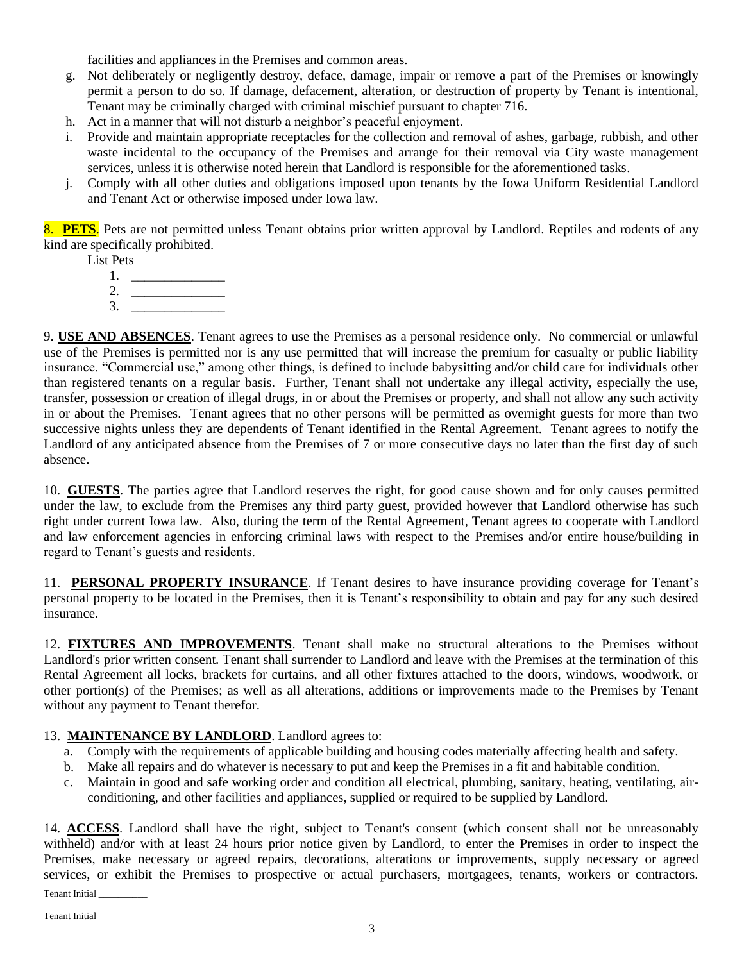facilities and appliances in the Premises and common areas.

- g. Not deliberately or negligently destroy, deface, damage, impair or remove a part of the Premises or knowingly permit a person to do so. If damage, defacement, alteration, or destruction of property by Tenant is intentional, Tenant may be criminally charged with criminal mischief pursuant to chapter 716.
- h. Act in a manner that will not disturb a neighbor's peaceful enjoyment.
- i. Provide and maintain appropriate receptacles for the collection and removal of ashes, garbage, rubbish, and other waste incidental to the occupancy of the Premises and arrange for their removal via City waste management services, unless it is otherwise noted herein that Landlord is responsible for the aforementioned tasks.
- j. Comply with all other duties and obligations imposed upon tenants by the Iowa Uniform Residential Landlord and Tenant Act or otherwise imposed under Iowa law.

8. **PETS**. Pets are not permitted unless Tenant obtains prior written approval by Landlord. Reptiles and rodents of any kind are specifically prohibited.

List Pets

- 1.
- 2. \_\_\_\_\_\_\_\_\_\_\_\_\_\_  $3.$

9. **USE AND ABSENCES**. Tenant agrees to use the Premises as a personal residence only. No commercial or unlawful use of the Premises is permitted nor is any use permitted that will increase the premium for casualty or public liability insurance. "Commercial use," among other things, is defined to include babysitting and/or child care for individuals other than registered tenants on a regular basis. Further, Tenant shall not undertake any illegal activity, especially the use, transfer, possession or creation of illegal drugs, in or about the Premises or property, and shall not allow any such activity in or about the Premises. Tenant agrees that no other persons will be permitted as overnight guests for more than two successive nights unless they are dependents of Tenant identified in the Rental Agreement. Tenant agrees to notify the Landlord of any anticipated absence from the Premises of 7 or more consecutive days no later than the first day of such absence.

10. **GUESTS**. The parties agree that Landlord reserves the right, for good cause shown and for only causes permitted under the law, to exclude from the Premises any third party guest, provided however that Landlord otherwise has such right under current Iowa law. Also, during the term of the Rental Agreement, Tenant agrees to cooperate with Landlord and law enforcement agencies in enforcing criminal laws with respect to the Premises and/or entire house/building in regard to Tenant's guests and residents.

11. **PERSONAL PROPERTY INSURANCE**. If Tenant desires to have insurance providing coverage for Tenant's personal property to be located in the Premises, then it is Tenant's responsibility to obtain and pay for any such desired insurance.

12. **FIXTURES AND IMPROVEMENTS**. Tenant shall make no structural alterations to the Premises without Landlord's prior written consent. Tenant shall surrender to Landlord and leave with the Premises at the termination of this Rental Agreement all locks, brackets for curtains, and all other fixtures attached to the doors, windows, woodwork, or other portion(s) of the Premises; as well as all alterations, additions or improvements made to the Premises by Tenant without any payment to Tenant therefor.

# 13. **MAINTENANCE BY LANDLORD**. Landlord agrees to:

- a. Comply with the requirements of applicable building and housing codes materially affecting health and safety.
- b. Make all repairs and do whatever is necessary to put and keep the Premises in a fit and habitable condition.
- c. Maintain in good and safe working order and condition all electrical, plumbing, sanitary, heating, ventilating, airconditioning, and other facilities and appliances, supplied or required to be supplied by Landlord.

14. **ACCESS**. Landlord shall have the right, subject to Tenant's consent (which consent shall not be unreasonably withheld) and/or with at least 24 hours prior notice given by Landlord, to enter the Premises in order to inspect the Premises, make necessary or agreed repairs, decorations, alterations or improvements, supply necessary or agreed services, or exhibit the Premises to prospective or actual purchasers, mortgagees, tenants, workers or contractors.

Tenant Initial

Tenant Initial \_\_\_\_\_\_\_\_\_\_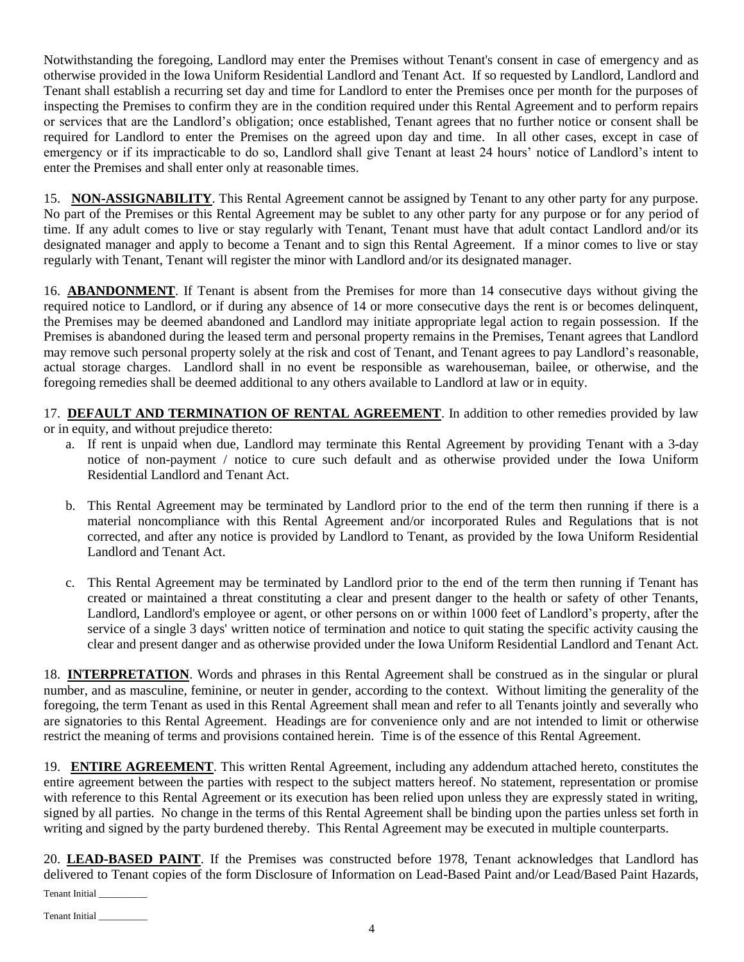Notwithstanding the foregoing, Landlord may enter the Premises without Tenant's consent in case of emergency and as otherwise provided in the Iowa Uniform Residential Landlord and Tenant Act. If so requested by Landlord, Landlord and Tenant shall establish a recurring set day and time for Landlord to enter the Premises once per month for the purposes of inspecting the Premises to confirm they are in the condition required under this Rental Agreement and to perform repairs or services that are the Landlord's obligation; once established, Tenant agrees that no further notice or consent shall be required for Landlord to enter the Premises on the agreed upon day and time. In all other cases, except in case of emergency or if its impracticable to do so, Landlord shall give Tenant at least 24 hours' notice of Landlord's intent to enter the Premises and shall enter only at reasonable times.

15. **NON-ASSIGNABILITY**. This Rental Agreement cannot be assigned by Tenant to any other party for any purpose. No part of the Premises or this Rental Agreement may be sublet to any other party for any purpose or for any period of time. If any adult comes to live or stay regularly with Tenant, Tenant must have that adult contact Landlord and/or its designated manager and apply to become a Tenant and to sign this Rental Agreement. If a minor comes to live or stay regularly with Tenant, Tenant will register the minor with Landlord and/or its designated manager.

16. **ABANDONMENT**. If Tenant is absent from the Premises for more than 14 consecutive days without giving the required notice to Landlord, or if during any absence of 14 or more consecutive days the rent is or becomes delinquent, the Premises may be deemed abandoned and Landlord may initiate appropriate legal action to regain possession. If the Premises is abandoned during the leased term and personal property remains in the Premises, Tenant agrees that Landlord may remove such personal property solely at the risk and cost of Tenant, and Tenant agrees to pay Landlord's reasonable, actual storage charges. Landlord shall in no event be responsible as warehouseman, bailee, or otherwise, and the foregoing remedies shall be deemed additional to any others available to Landlord at law or in equity.

17. **DEFAULT AND TERMINATION OF RENTAL AGREEMENT**. In addition to other remedies provided by law or in equity, and without prejudice thereto:

- a. If rent is unpaid when due, Landlord may terminate this Rental Agreement by providing Tenant with a 3-day notice of non-payment / notice to cure such default and as otherwise provided under the Iowa Uniform Residential Landlord and Tenant Act.
- b. This Rental Agreement may be terminated by Landlord prior to the end of the term then running if there is a material noncompliance with this Rental Agreement and/or incorporated Rules and Regulations that is not corrected, and after any notice is provided by Landlord to Tenant, as provided by the Iowa Uniform Residential Landlord and Tenant Act.
- c. This Rental Agreement may be terminated by Landlord prior to the end of the term then running if Tenant has created or maintained a threat constituting a clear and present danger to the health or safety of other Tenants, Landlord, Landlord's employee or agent, or other persons on or within 1000 feet of Landlord's property, after the service of a single 3 days' written notice of termination and notice to quit stating the specific activity causing the clear and present danger and as otherwise provided under the Iowa Uniform Residential Landlord and Tenant Act.

18. **INTERPRETATION**. Words and phrases in this Rental Agreement shall be construed as in the singular or plural number, and as masculine, feminine, or neuter in gender, according to the context. Without limiting the generality of the foregoing, the term Tenant as used in this Rental Agreement shall mean and refer to all Tenants jointly and severally who are signatories to this Rental Agreement. Headings are for convenience only and are not intended to limit or otherwise restrict the meaning of terms and provisions contained herein. Time is of the essence of this Rental Agreement.

19. **ENTIRE AGREEMENT**. This written Rental Agreement, including any addendum attached hereto, constitutes the entire agreement between the parties with respect to the subject matters hereof. No statement, representation or promise with reference to this Rental Agreement or its execution has been relied upon unless they are expressly stated in writing, signed by all parties. No change in the terms of this Rental Agreement shall be binding upon the parties unless set forth in writing and signed by the party burdened thereby. This Rental Agreement may be executed in multiple counterparts.

20. **LEAD-BASED PAINT**. If the Premises was constructed before 1978, Tenant acknowledges that Landlord has delivered to Tenant copies of the form Disclosure of Information on Lead-Based Paint and/or Lead/Based Paint Hazards,

Tenant Initial

Tenant Initial \_\_\_\_\_\_\_\_\_\_